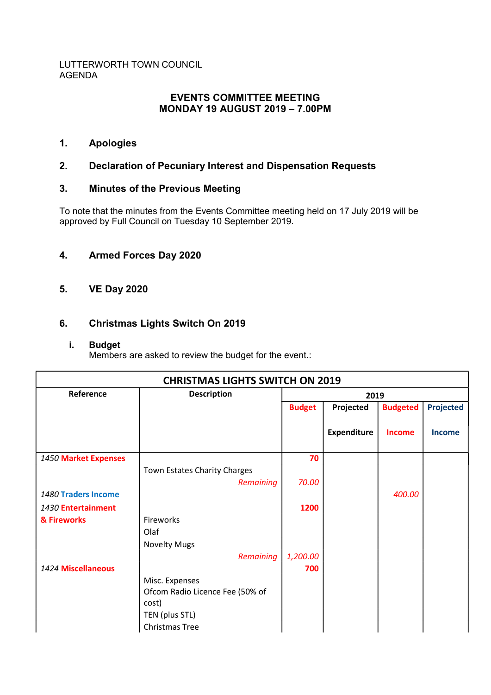#### LUTTERWORTH TOWN COUNCIL AGENDA

# EVENTS COMMITTEE MEETING MONDAY 19 AUGUST 2019 – 7.00PM

# 1. Apologies

## 2. Declaration of Pecuniary Interest and Dispensation Requests

## 3. Minutes of the Previous Meeting

To note that the minutes from the Events Committee meeting held on 17 July 2019 will be approved by Full Council on Tuesday 10 September 2019.

## 4. Armed Forces Day 2020

# 5. VE Day 2020

## 6. Christmas Lights Switch On 2019

#### i. Budget

Members are asked to review the budget for the event.:

| <b>CHRISTMAS LIGHTS SWITCH ON 2019</b> |                                 |               |                    |                 |                  |  |  |  |
|----------------------------------------|---------------------------------|---------------|--------------------|-----------------|------------------|--|--|--|
| Reference                              | <b>Description</b>              | 2019          |                    |                 |                  |  |  |  |
|                                        |                                 | <b>Budget</b> | Projected          | <b>Budgeted</b> | <b>Projected</b> |  |  |  |
|                                        |                                 |               | <b>Expenditure</b> | <b>Income</b>   | <b>Income</b>    |  |  |  |
| 1450 Market Expenses                   |                                 | 70            |                    |                 |                  |  |  |  |
|                                        | Town Estates Charity Charges    |               |                    |                 |                  |  |  |  |
|                                        | <b>Remaining</b>                | 70.00         |                    |                 |                  |  |  |  |
| 1480 Traders Income                    |                                 |               |                    | 400.00          |                  |  |  |  |
| 1430 Entertainment                     |                                 | 1200          |                    |                 |                  |  |  |  |
| & Fireworks                            | <b>Fireworks</b>                |               |                    |                 |                  |  |  |  |
|                                        | Olaf                            |               |                    |                 |                  |  |  |  |
|                                        | <b>Novelty Mugs</b>             |               |                    |                 |                  |  |  |  |
|                                        | <b>Remaining</b>                | 1,200.00      |                    |                 |                  |  |  |  |
| 1424 Miscellaneous                     |                                 | 700           |                    |                 |                  |  |  |  |
|                                        | Misc. Expenses                  |               |                    |                 |                  |  |  |  |
|                                        | Ofcom Radio Licence Fee (50% of |               |                    |                 |                  |  |  |  |
|                                        | cost)                           |               |                    |                 |                  |  |  |  |
|                                        | TEN (plus STL)                  |               |                    |                 |                  |  |  |  |
|                                        | Christmas Tree                  |               |                    |                 |                  |  |  |  |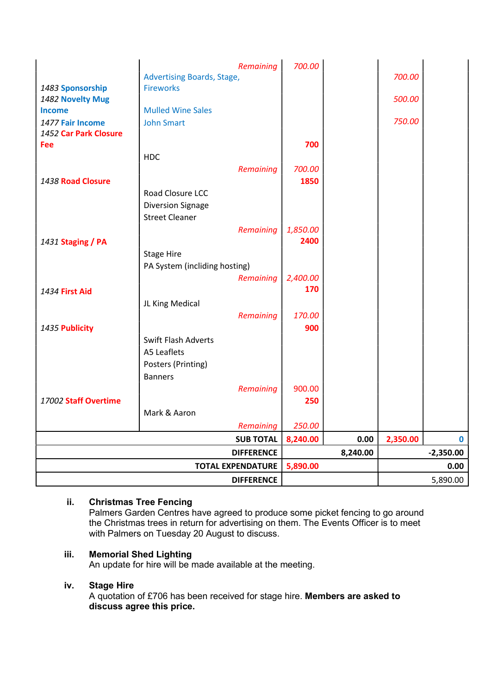|                       | <b>Remaining</b>                  | 700.00   |          |          |             |
|-----------------------|-----------------------------------|----------|----------|----------|-------------|
|                       | <b>Advertising Boards, Stage,</b> |          |          | 700.00   |             |
| 1483 Sponsorship      | <b>Fireworks</b>                  |          |          |          |             |
| 1482 Novelty Mug      |                                   |          |          | 500.00   |             |
| <b>Income</b>         | <b>Mulled Wine Sales</b>          |          |          |          |             |
| 1477 Fair Income      | <b>John Smart</b>                 |          |          | 750.00   |             |
| 1452 Car Park Closure |                                   |          |          |          |             |
| <b>Fee</b>            |                                   | 700      |          |          |             |
|                       | <b>HDC</b>                        |          |          |          |             |
|                       | Remaining                         | 700.00   |          |          |             |
| 1438 Road Closure     |                                   | 1850     |          |          |             |
|                       | Road Closure LCC                  |          |          |          |             |
|                       | <b>Diversion Signage</b>          |          |          |          |             |
|                       | <b>Street Cleaner</b>             |          |          |          |             |
|                       | Remaining                         | 1,850.00 |          |          |             |
| 1431 Staging / PA     |                                   | 2400     |          |          |             |
|                       | <b>Stage Hire</b>                 |          |          |          |             |
|                       | PA System (incliding hosting)     |          |          |          |             |
|                       | Remaining                         | 2,400.00 |          |          |             |
| 1434 First Aid        |                                   | 170      |          |          |             |
|                       | JL King Medical                   |          |          |          |             |
|                       | Remaining                         | 170.00   |          |          |             |
| 1435 Publicity        |                                   | 900      |          |          |             |
|                       | Swift Flash Adverts               |          |          |          |             |
|                       | A5 Leaflets                       |          |          |          |             |
|                       | Posters (Printing)                |          |          |          |             |
|                       | <b>Banners</b>                    |          |          |          |             |
| 17002 Staff Overtime  | Remaining                         | 900.00   |          |          |             |
|                       |                                   | 250      |          |          |             |
|                       | Mark & Aaron                      |          |          |          |             |
|                       |                                   |          |          |          |             |
|                       | Remaining                         | 250.00   |          |          |             |
|                       | <b>SUB TOTAL</b>                  | 8,240.00 | 0.00     | 2,350.00 | $\bf{0}$    |
|                       | <b>DIFFERENCE</b>                 |          | 8,240.00 |          | $-2,350.00$ |
|                       | <b>TOTAL EXPENDATURE</b>          | 5,890.00 |          |          | 0.00        |
|                       | <b>DIFFERENCE</b>                 |          |          |          | 5,890.00    |

## ii. Christmas Tree Fencing

Palmers Garden Centres have agreed to produce some picket fencing to go around the Christmas trees in return for advertising on them. The Events Officer is to meet with Palmers on Tuesday 20 August to discuss.

#### iii. Memorial Shed Lighting

An update for hire will be made available at the meeting.

#### iv. Stage Hire

A quotation of £706 has been received for stage hire. Members are asked to discuss agree this price.